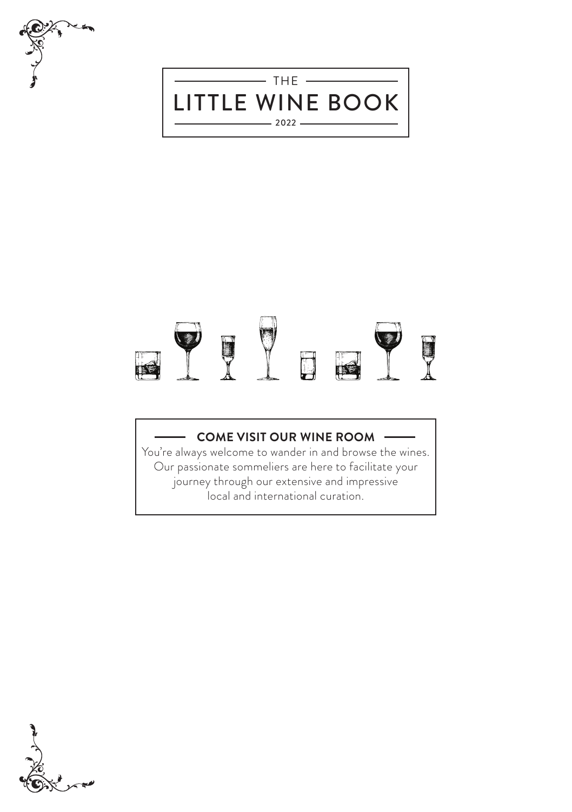



## U  $\Box$  $\mathbf{R}$

### **COME VISIT OUR WINE ROOM**

You're always welcome to wander in and browse the wines. Our passionate sommeliers are here to facilitate your journey through our extensive and impressive local and international curation.

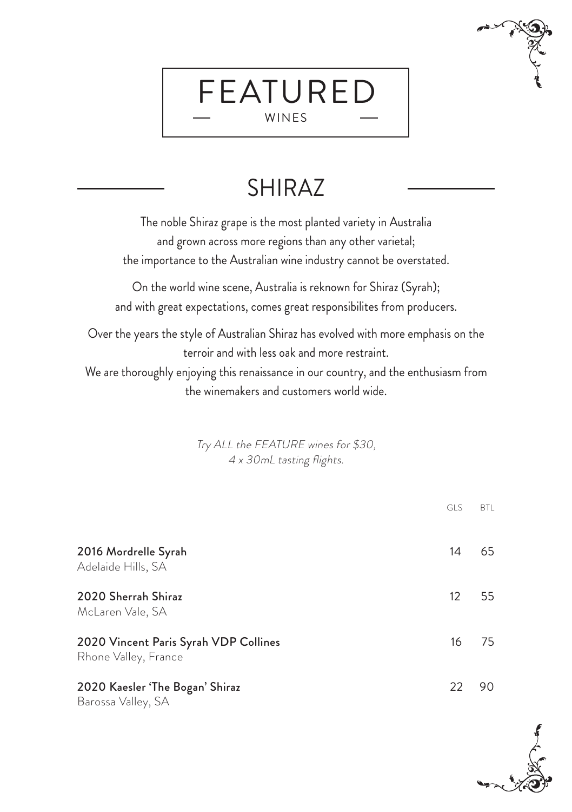## SHIRAZ

FEATURED WINES

The noble Shiraz grape is the most planted variety in Australia and grown across more regions than any other varietal; the importance to the Australian wine industry cannot be overstated.

On the world wine scene, Australia is reknown for Shiraz (Syrah); and with great expectations, comes great responsibilites from producers.

Over the years the style of Australian Shiraz has evolved with more emphasis on the terroir and with less oak and more restraint.

We are thoroughly enjoying this renaissance in our country, and the enthusiasm from the winemakers and customers world wide.

> Try ALL the FEATURE wines for \$30, 4 x 30mL tasting flights.

|                                                               | <b>GLS</b>        | <b>BTL</b> |
|---------------------------------------------------------------|-------------------|------------|
| 2016 Mordrelle Syrah<br>Adelaide Hills, SA                    | 14                | 65         |
| 2020 Sherrah Shiraz<br>McLaren Vale, SA                       | $12 \overline{ }$ | 55         |
| 2020 Vincent Paris Syrah VDP Collines<br>Rhone Valley, France | 16                | 75         |
| 2020 Kaesler 'The Bogan' Shiraz<br>Barossa Valley, SA         | 22                | 90.        |

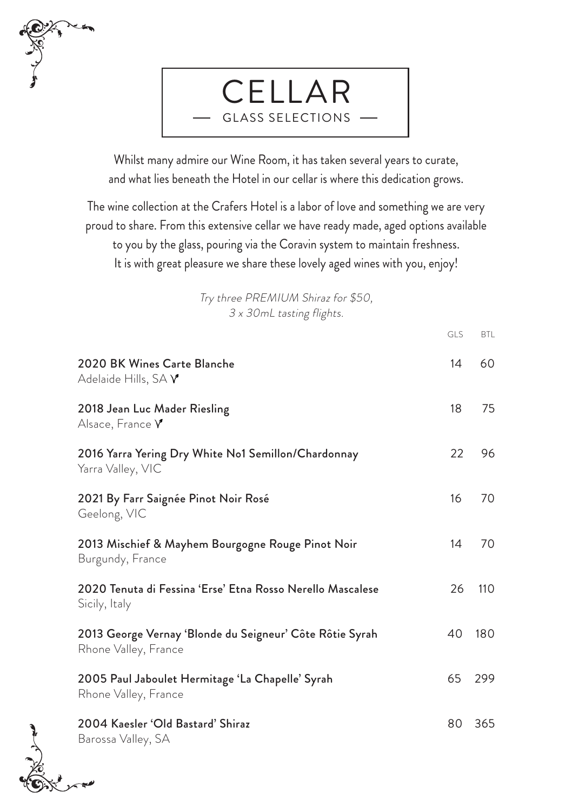



Whilst many admire our Wine Room, it has taken several years to curate, and what lies beneath the Hotel in our cellar is where this dedication grows.

The wine collection at the Crafers Hotel is a labor of love and something we are very proud to share. From this extensive cellar we have ready made, aged options available to you by the glass, pouring via the Coravin system to maintain freshness. It is with great pleasure we share these lovely aged wines with you, enjoy!

> Try three PREMIUM Shiraz for \$50, 3 x 30mL tasting flights.

|                                                                                  | GLS | <b>BTL</b> |
|----------------------------------------------------------------------------------|-----|------------|
| 2020 BK Wines Carte Blanche<br>Adelaide Hills, SA Y                              | 14  | 60         |
| 2018 Jean Luc Mader Riesling<br>Alsace, France $V$                               | 18  | 75         |
| 2016 Yarra Yering Dry White No1 Semillon/Chardonnay<br>Yarra Valley, VIC         | 22  | 96         |
| 2021 By Farr Saignée Pinot Noir Rosé<br>Geelong, VIC                             | 16  | 70         |
| 2013 Mischief & Mayhem Bourgogne Rouge Pinot Noir<br>Burgundy, France            | 14  | 70         |
| 2020 Tenuta di Fessina 'Erse' Etna Rosso Nerello Mascalese<br>Sicily, Italy      | 26  | 110        |
| 2013 George Vernay 'Blonde du Seigneur' Côte Rôtie Syrah<br>Rhone Valley, France | 40  | 180        |
| 2005 Paul Jaboulet Hermitage 'La Chapelle' Syrah<br>Rhone Valley, France         | 65  | 299        |
| 2004 Kaesler 'Old Bastard' Shiraz<br>Barossa Valley, SA                          | 80  | 365        |
|                                                                                  |     |            |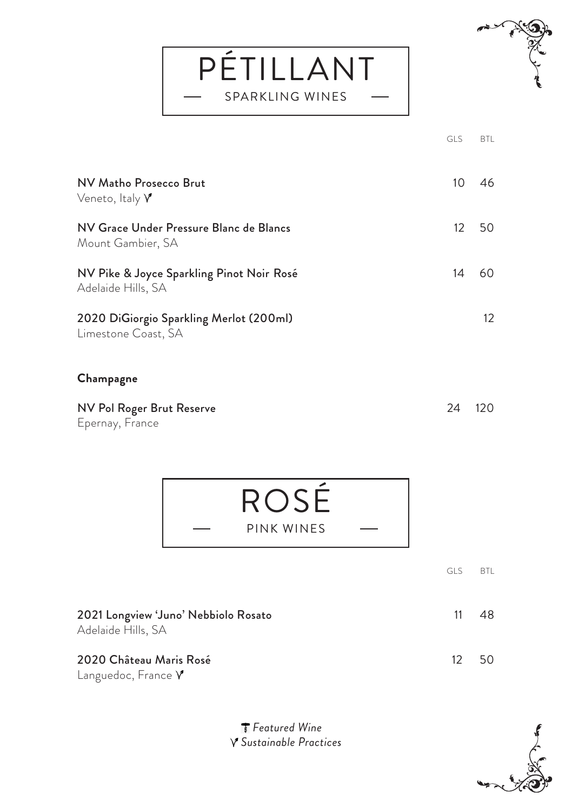PÉTILLANT SPARKLING WINES



|                                                                 | GLS | <b>BTL</b> |
|-----------------------------------------------------------------|-----|------------|
| NV Matho Prosecco Brut<br>Veneto, Italy $\gamma$                | 10  | 46         |
| NV Grace Under Pressure Blanc de Blancs<br>Mount Gambier, SA    | 12  | 50         |
| NV Pike & Joyce Sparkling Pinot Noir Rosé<br>Adelaide Hills, SA | 14  | 60         |
| 2020 DiGiorgio Sparkling Merlot (200ml)<br>Limestone Coast, SA  |     | 12         |
| Champagne                                                       |     |            |
| NV Pol Roger Brut Reserve<br>Epernay, France                    | 24  | 120        |
| ROSÉ                                                            |     |            |

|                                                            | <b>GLS</b> | <b>BTI</b> |
|------------------------------------------------------------|------------|------------|
| 2021 Longview 'Juno' Nebbiolo Rosato<br>Adelaide Hills, SA | 11         | 48         |
| 2020 Château Maris Rosé<br>Languedoc, France $\gamma$      | 12         | 50         |

PINK WINES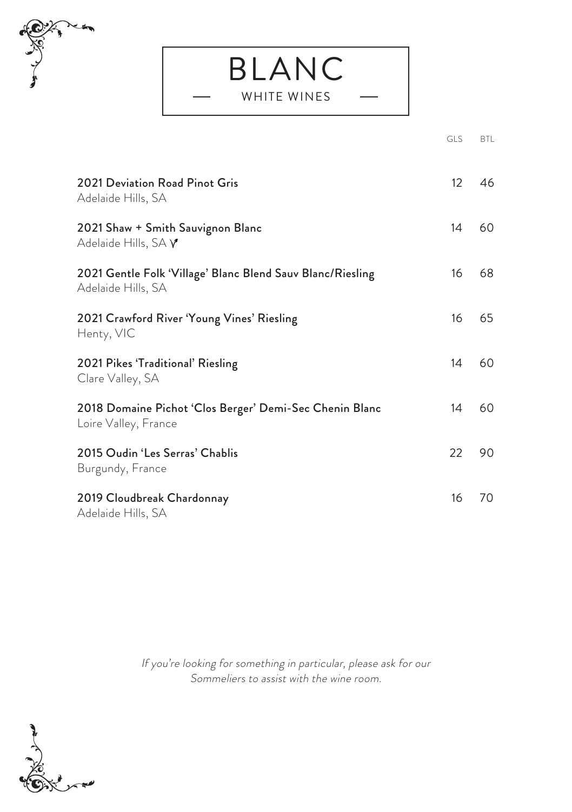

|                                                                                  | <b>GLS</b>        | BTL |
|----------------------------------------------------------------------------------|-------------------|-----|
| 2021 Deviation Road Pinot Gris<br>Adelaide Hills, SA                             | $12 \overline{ }$ | 46  |
| 2021 Shaw + Smith Sauvignon Blanc<br>Adelaide Hills, SA $\gamma$                 | 14                | 60  |
| 2021 Gentle Folk 'Village' Blanc Blend Sauv Blanc/Riesling<br>Adelaide Hills, SA | 16                | 68  |
| 2021 Crawford River 'Young Vines' Riesling<br>Henty, VIC                         | 16                | 65  |
| 2021 Pikes 'Traditional' Riesling<br>Clare Valley, SA                            | 14                | 60  |
| 2018 Domaine Pichot 'Clos Berger' Demi-Sec Chenin Blanc<br>Loire Valley, France  | 14                | 60  |
| 2015 Oudin 'Les Serras' Chablis<br>Burgundy, France                              | 22                | 90  |
| 2019 Cloudbreak Chardonnay<br>Adelaide Hills, SA                                 | 16                | 70  |

BLANC

WHITE WINES

If you're looking for something in particular, please ask for our Sommeliers to assist with the wine room.

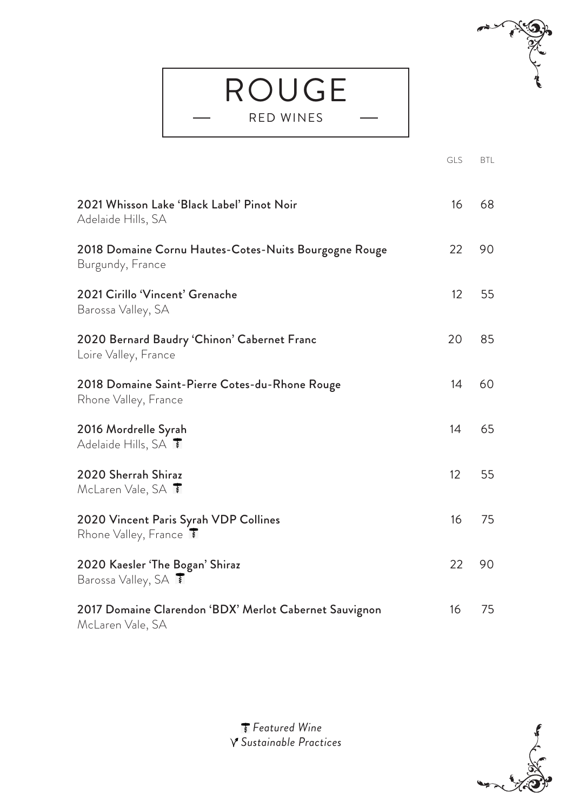## ROUGE RED WINES



|                                                                            | <b>GLS</b> | BTL |
|----------------------------------------------------------------------------|------------|-----|
| 2021 Whisson Lake 'Black Label' Pinot Noir<br>Adelaide Hills, SA           | 16         | 68  |
| 2018 Domaine Cornu Hautes-Cotes-Nuits Bourgogne Rouge<br>Burgundy, France  | 22         | 90  |
| 2021 Cirillo 'Vincent' Grenache<br>Barossa Valley, SA                      | 12         | 55  |
| 2020 Bernard Baudry 'Chinon' Cabernet Franc<br>Loire Valley, France        | 20         | 85  |
| 2018 Domaine Saint-Pierre Cotes-du-Rhone Rouge<br>Rhone Valley, France     | 14         | 60  |
| 2016 Mordrelle Syrah<br>Adelaide Hills, SA <b>T</b>                        | 14         | 65  |
| 2020 Sherrah Shiraz<br>McLaren Vale, SA <b>T</b>                           | 12         | 55  |
| 2020 Vincent Paris Syrah VDP Collines<br>Rhone Valley, France              | 16         | 75  |
| 2020 Kaesler 'The Bogan' Shiraz<br>Barossa Valley, SA <b>T</b>             | 22         | 90  |
| 2017 Domaine Clarendon 'BDX' Merlot Cabernet Sauvignon<br>McLaren Vale, SA | 16         | 75  |

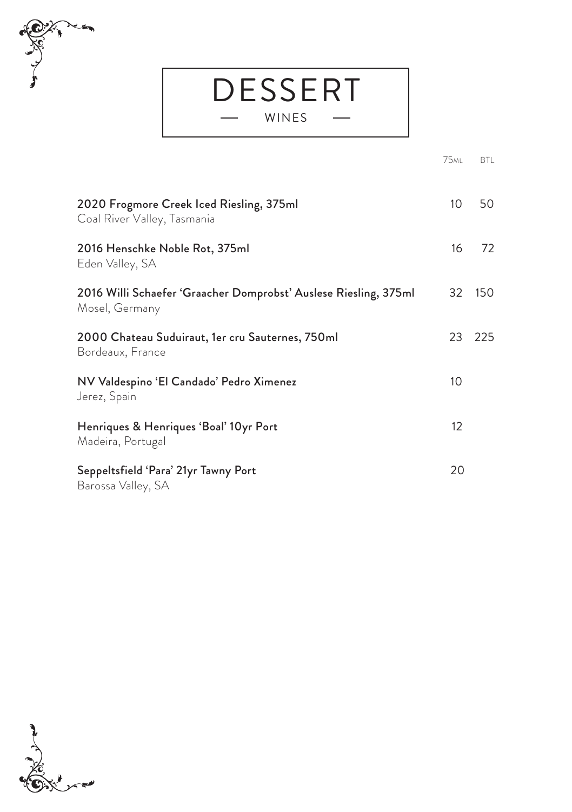# حتجر

## **DESSERT**

## WINES

|                                                                                    | <b>75ML</b> | <b>BTL</b> |
|------------------------------------------------------------------------------------|-------------|------------|
| 2020 Frogmore Creek Iced Riesling, 375ml<br>Coal River Valley, Tasmania            | 10          | 50         |
| 2016 Henschke Noble Rot, 375ml<br>Eden Valley, SA                                  | 16          | 72         |
| 2016 Willi Schaefer 'Graacher Domprobst' Auslese Riesling, 375ml<br>Mosel, Germany | 32          | 150        |
| 2000 Chateau Suduiraut, 1er cru Sauternes, 750ml<br>Bordeaux, France               | 23          | 225        |
| NV Valdespino 'El Candado' Pedro Ximenez<br>Jerez, Spain                           | 10          |            |
| Henriques & Henriques 'Boal' 10yr Port<br>Madeira, Portugal                        | 12          |            |
| Seppeltsfield 'Para' 21yr Tawny Port<br>Barossa Valley, SA                         | 20          |            |

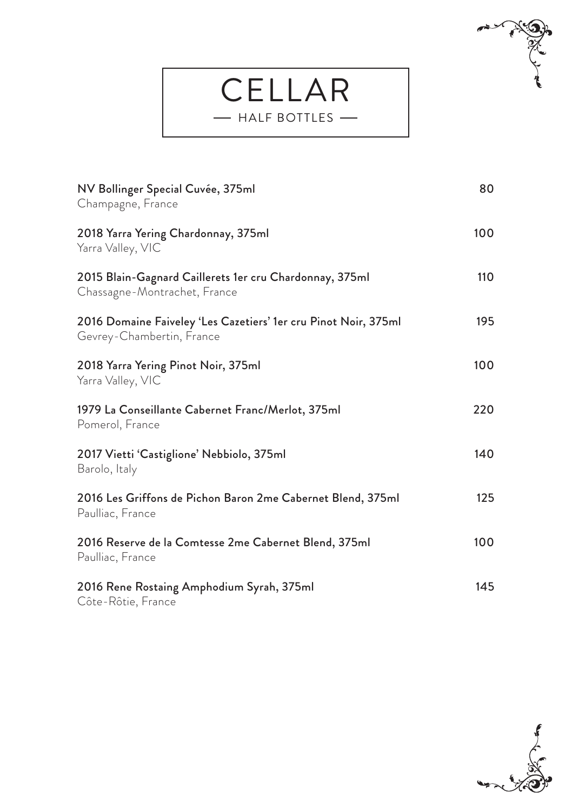## ELLAR HALF BOTTLES



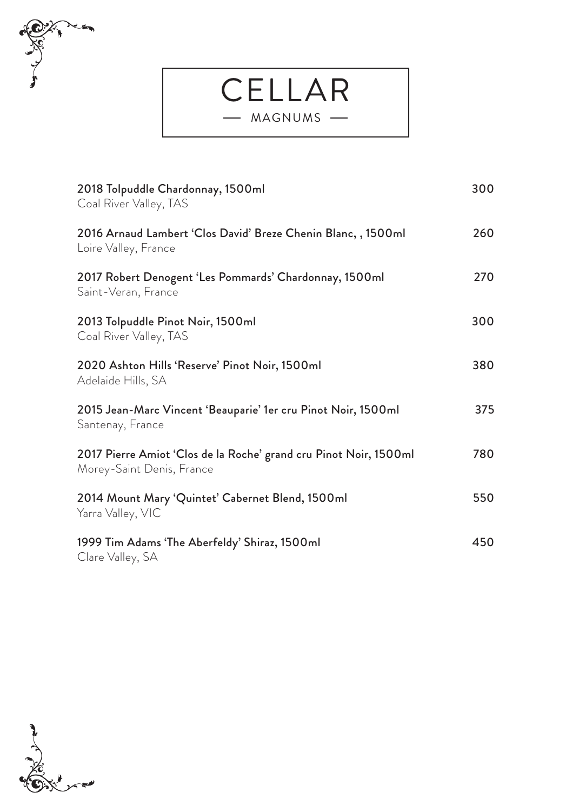

CELLAR - MAGNUMS -

| 2018 Tolpuddle Chardonnay, 1500ml<br>Coal River Valley, TAS                                    | 300 |
|------------------------------------------------------------------------------------------------|-----|
| 2016 Arnaud Lambert 'Clos David' Breze Chenin Blanc, , 1500ml<br>Loire Valley, France          | 260 |
| 2017 Robert Denogent 'Les Pommards' Chardonnay, 1500ml<br>Saint-Veran, France                  | 270 |
| 2013 Tolpuddle Pinot Noir, 1500ml<br>Coal River Valley, TAS                                    | 300 |
| 2020 Ashton Hills 'Reserve' Pinot Noir, 1500ml<br>Adelaide Hills, SA                           | 380 |
| 2015 Jean-Marc Vincent 'Beauparie' 1er cru Pinot Noir, 1500ml<br>Santenay, France              | 375 |
| 2017 Pierre Amiot 'Clos de la Roche' grand cru Pinot Noir, 1500ml<br>Morey-Saint Denis, France | 780 |
| 2014 Mount Mary 'Quintet' Cabernet Blend, 1500ml<br>Yarra Valley, VIC                          | 550 |
| 1999 Tim Adams 'The Aberfeldy' Shiraz, 1500ml<br>Clare Valley, SA                              | 450 |

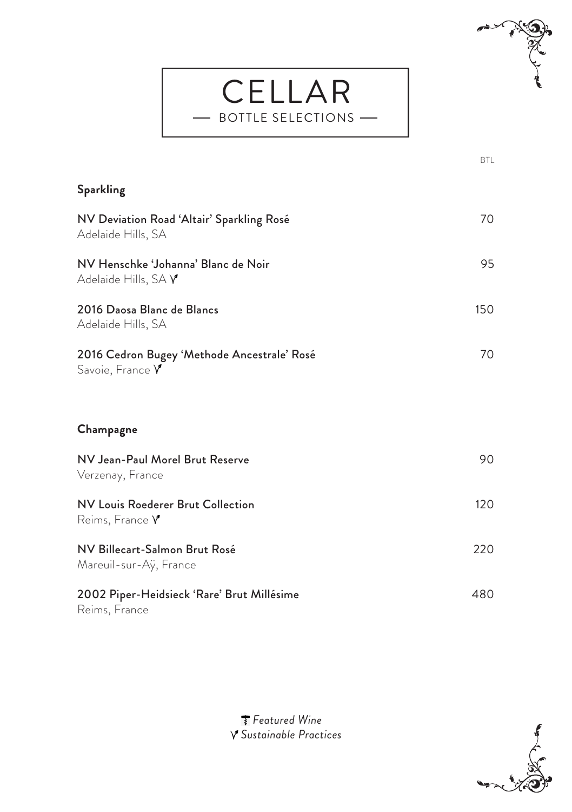

| <b>Sparkling</b>                                                       |     |
|------------------------------------------------------------------------|-----|
| NV Deviation Road 'Altair' Sparkling Rosé<br>Adelaide Hills, SA        | 70  |
| NV Henschke 'Johanna' Blanc de Noir<br>Adelaide Hills, SA $\mathsf{Y}$ | 95  |
| 2016 Daosa Blanc de Blancs<br>Adelaide Hills, SA                       | 150 |
| 2016 Cedron Bugey 'Methode Ancestrale' Rosé<br>Savoie, France $\gamma$ | 70  |
| Champagne                                                              |     |
| NV Jean-Paul Morel Brut Reserve<br>Verzenay, France                    | 90  |
| NV Louis Roederer Brut Collection<br>Reims, France $V$                 | 120 |
| NV Billecart-Salmon Brut Rosé<br>Mareuil-sur-Ay, France                | 220 |
| 2002 Piper-Heidsieck 'Rare' Brut Millésime<br>Reims, France            | 480 |

CELLAR - BOTTLE SELECTIONS -

 $\overline{a}$ 

between the contract of the contract of the contract of the contract of the contract of the contract of the co

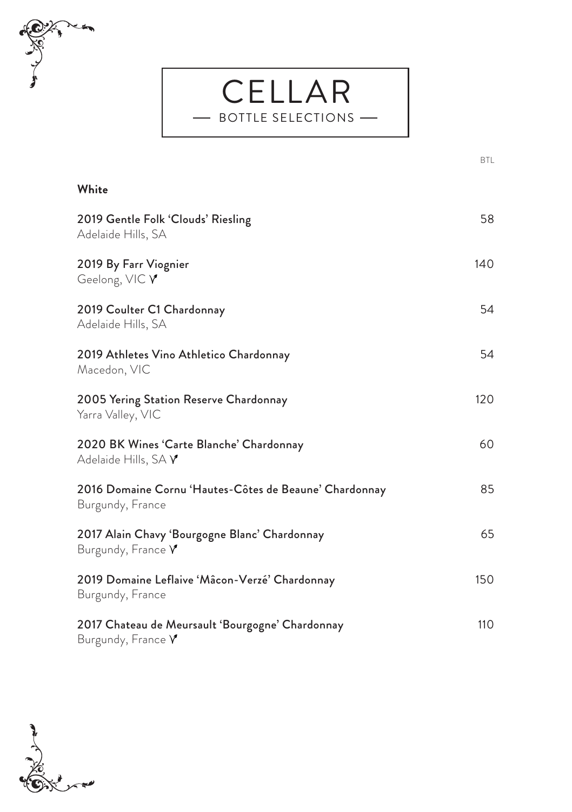

## between the contract of the contract of the contract of the contract of the contract of the contract of the co **White** 2019 Gentle Folk 'Clouds' Riesling 58 Adelaide Hills, SA 2019 By Farr Viognier 140 Geelong, VIC Y 2019 Coulter C1 Chardonnay 54 Adelaide Hills, SA 2019 Athletes Vino Athletico Chardonnay 54 Macedon, VIC 2005 Yering Station Reserve Chardonnay 120 Yarra Valley, VIC 2020 BK Wines 'Carte Blanche' Chardonnay 60 Adelaide Hills, SA V 2016 Domaine Cornu 'Hautes-Côtes de Beaune' Chardonnay 85 Burgundy, France 2017 Alain Chavy 'Bourgogne Blanc' Chardonnay 65 Burgundy, France Y 2019 Domaine Leflaive 'Mâcon-Verzé' Chardonnay 150 Burgundy, France 2017 Chateau de Meursault 'Bourgogne' Chardonnay 110 Burgundy, France Y

CELLAR BOTTLE SELECTIONS

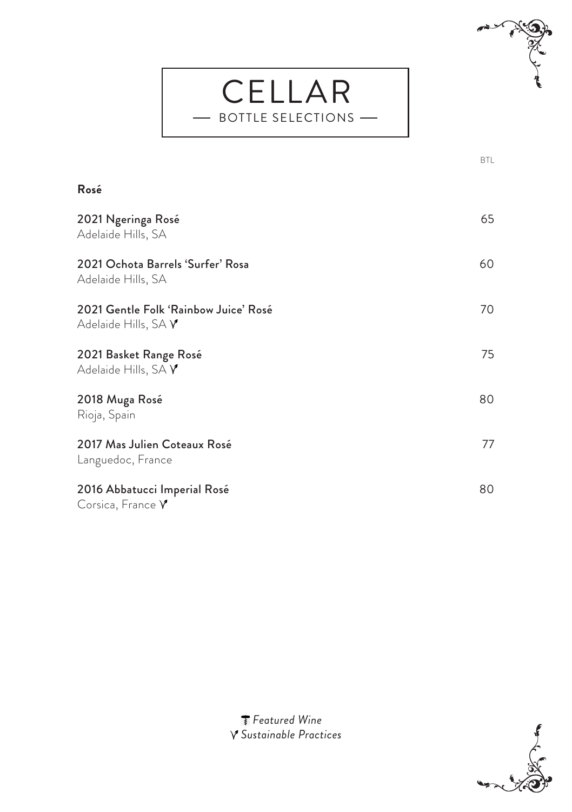## CELLAR BOTTLE SELECTIONS



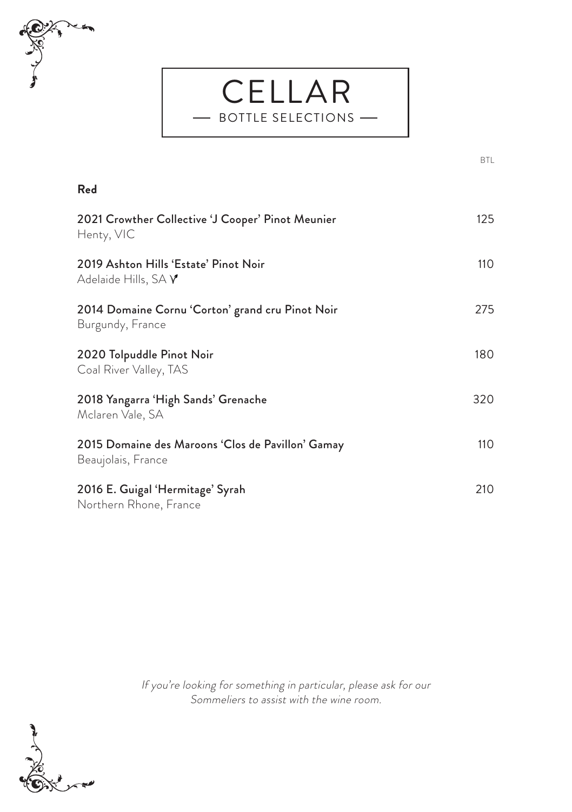

## **Red** 2021 Crowther Collective 'J Cooper' Pinot Meunier 125 Henty, VIC 2019 Ashton Hills 'Estate' Pinot Noir 110 Adelaide Hills, SA Y 2014 Domaine Cornu 'Corton' grand cru Pinot Noir 275 Burgundy, France 2020 Tolpuddle Pinot Noir 180 Coal River Valley, TAS 2018 Yangarra 'High Sands' Grenache 320 Mclaren Vale, SA 2015 Domaine des Maroons 'Clos de Pavillon' Gamay 110 Beaujolais, France 2016 E. Guigal 'Hermitage' Syrah 210 Northern Rhone, France

CELLAR BOTTLE SELECTIONS

between the contract of the contract of the contract of the contract of the contract of the contract of the co

If you're looking for something in particular, please ask for our Sommeliers to assist with the wine room.

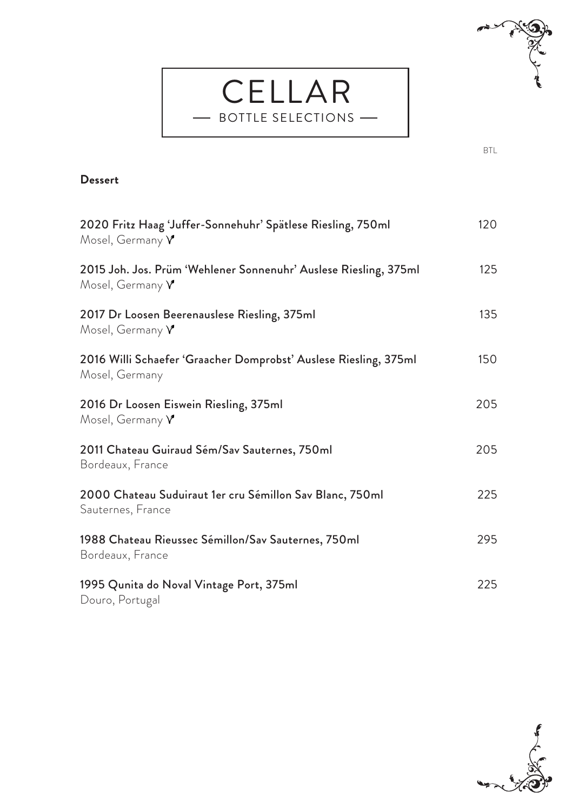



| 2020 Fritz Haag 'Juffer-Sonnehuhr' Spätlese Riesling, 750ml<br>Mosel, Germany $\gamma$      | 120 |
|---------------------------------------------------------------------------------------------|-----|
| 2015 Joh. Jos. Prüm 'Wehlener Sonnenuhr' Auslese Riesling, 375ml<br>Mosel, Germany $\gamma$ | 125 |
| 2017 Dr Loosen Beerenauslese Riesling, 375ml<br>Mosel, Germany $\gamma$                     | 135 |
| 2016 Willi Schaefer 'Graacher Domprobst' Auslese Riesling, 375ml<br>Mosel, Germany          | 150 |
| 2016 Dr Loosen Eiswein Riesling, 375ml<br>Mosel, Germany Y                                  | 205 |
| 2011 Chateau Guiraud Sém/Sav Sauternes, 750ml<br>Bordeaux, France                           | 205 |
| 2000 Chateau Suduiraut 1er cru Sémillon Sav Blanc, 750ml<br>Sauternes, France               | 225 |
| 1988 Chateau Rieussec Sémillon/Sav Sauternes, 750ml<br>Bordeaux, France                     | 295 |
| 1995 Qunita do Noval Vintage Port, 375ml<br>Douro, Portugal                                 | 225 |

CELLAR BOTTLE SELECTIONS

L,

between the contract of the contract of the contract of the contract of the contract of the contract of the co